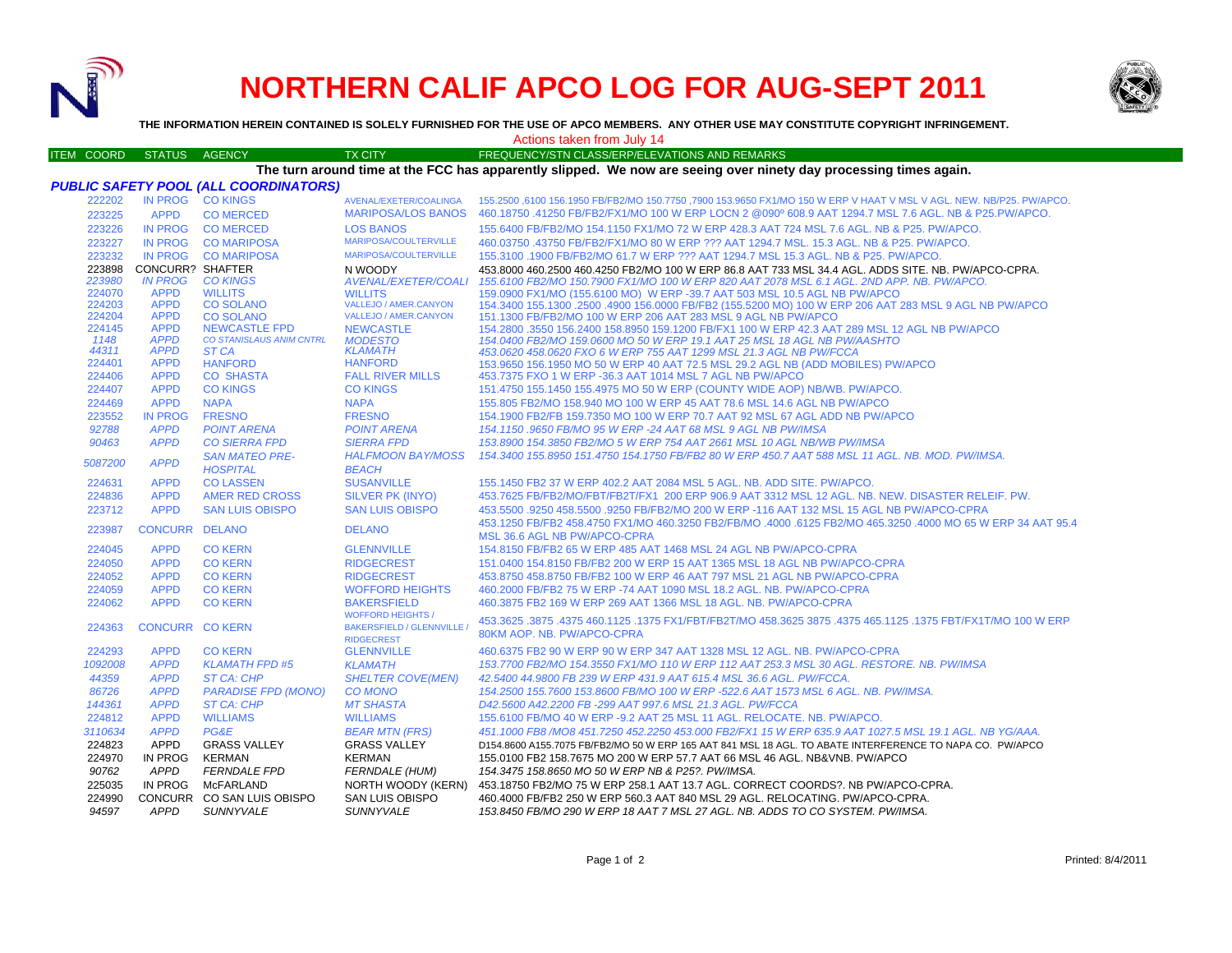

## **NORTHERN CALIF APCO LOG FOR AUG-SEPT 2011**



**THE INFORMATION HEREIN CONTAINED IS SOLELY FURNISHED FOR THE USE OF APCO MEMBERS. ANY OTHER USE MAY CONSTITUTE COPYRIGHT INFRINGEMENT.**

ITEM COORD STATUS AGENCY TX CITY FREQUENCY/STN CLASS/ERP/ELEVATIONS AND REMARKS Actions taken from July 14

## **The turn around time at the FCC has apparently slipped. We now are seeing over ninety day processing times again.**

|                |                            | <b>PUBLIC SAFETY POOL (ALL COORDINATORS)</b>            |                                        |                                                                                                                                                |
|----------------|----------------------------|---------------------------------------------------------|----------------------------------------|------------------------------------------------------------------------------------------------------------------------------------------------|
| 222202         |                            | IN PROG CO KINGS                                        | AVENAL/EXETER/COALINGA                 | .155.2500 ,6100 156.1950 FB/FB2/MO 150.7750 ,7900 153.9650 FX1/MO 150 W ERP V HAAT V MSL V AGL. NEW. NB/P25. PW/APCO                           |
| 223225         | <b>APPD</b>                | <b>CO MERCED</b>                                        | <b>MARIPOSA/LOS BANOS</b>              | 460.18750 .41250 FB/FB2/FX1/MO 100 W ERP LOCN 2 @090° 608.9 AAT 1294.7 MSL 7.6 AGL. NB & P25.PW/APCO.                                          |
| 223226         | <b>IN PROG</b>             | <b>CO MERCED</b>                                        | <b>LOS BANOS</b>                       | 155.6400 FB/FB2/MO 154.1150 FX1/MO 72 W ERP 428.3 AAT 724 MSL 7.6 AGL. NB & P25. PW/APCO.                                                      |
| 223227         | <b>IN PROG</b>             | <b>CO MARIPOSA</b>                                      | <b>MARIPOSA/COULTERVILLE</b>           | 460.03750 .43750 FB/FB2/FX1/MO 80 W ERP ??? AAT 1294.7 MSL, 15.3 AGL, NB & P25, PW/APCO,                                                       |
| 223232         |                            | IN PROG CO MARIPOSA                                     | <b>MARIPOSA/COULTERVILLE</b>           | 155.3100 .1900 FB/FB2/MO 61.7 W ERP ??? AAT 1294.7 MSL 15.3 AGL. NB & P25. PW/APCO.                                                            |
| 223898         | <b>CONCURR? SHAFTER</b>    |                                                         | N WOODY                                | 453.8000 460.2500 460.4250 FB2/MO 100 W ERP 86.8 AAT 733 MSL 34.4 AGL. ADDS SITE. NB. PW/APCO-CPRA.                                            |
| 223980         | <b>IN PROG</b>             | <b>CO KINGS</b>                                         | AVENAL/EXETER/COALI                    | 155.6100 FB2/MO 150.7900 FX1/MO 100 W ERP 820 AAT 2078 MSL 6.1 AGL, 2ND APP, NB, PW/APCO,                                                      |
| 224070         | <b>APPD</b>                | <b>WILLITS</b>                                          | <b>WILLITS</b>                         | 159,0900 FX1/MO (155,6100 MO) W ERP -39,7 AAT 503 MSL 10.5 AGL NB PW/APCO                                                                      |
| 224203         | <b>APPD</b>                | <b>CO SOLANO</b>                                        | VALLEJO / AMER.CANYON                  | 154.3400 155.1300 .2500 .4900 156.0000 FB/FB2 (155.5200 MO) 100 W ERP 206 AAT 283 MSL 9 AGL NB PW/APCO                                         |
| 224204         | <b>APPD</b>                | <b>CO SOLANO</b>                                        | <b>VALLEJO / AMER.CANYON</b>           | 151.1300 FB/FB2/MO 100 W ERP 206 AAT 283 MSL 9 AGL NB PW/APCO                                                                                  |
| 224145<br>1148 | <b>APPD</b><br><b>APPD</b> | <b>NEWCASTLE FPD</b><br><b>CO STANISLAUS ANIM CNTRL</b> | <b>NEWCASTLE</b>                       | 154.2800 .3550 156.2400 158.8950 159.1200 FB/FX1 100 W ERP 42.3 AAT 289 MSL 12 AGL NB PW/APCO                                                  |
| 44311          | <b>APPD</b>                | ST CA                                                   | <b>MODESTO</b><br><b>KLAMATH</b>       | 154.0400 FB2/MO 159.0600 MO 50 W ERP 19.1 AAT 25 MSL 18 AGL NB PW/AASHTO<br>453.0620 458.0620 FXO 6 W ERP 755 AAT 1299 MSL 21.3 AGL NB PW/FCCA |
| 224401         | <b>APPD</b>                | <b>HANFORD</b>                                          | <b>HANFORD</b>                         | 153.9650 156.1950 MO 50 W ERP 40 AAT 72.5 MSL 29.2 AGL NB (ADD MOBILES) PW/APCO                                                                |
| 224406         | <b>APPD</b>                | <b>CO SHASTA</b>                                        | <b>FALL RIVER MILLS</b>                | 453.7375 FXO 1 W ERP -36.3 AAT 1014 MSL 7 AGL NB PW/APCO                                                                                       |
| 224407         | <b>APPD</b>                | <b>CO KINGS</b>                                         | <b>CO KINGS</b>                        | 151.4750 155.1450 155.4975 MO 50 W ERP (COUNTY WIDE AOP) NB/WB. PW/APCO.                                                                       |
| 224469         | <b>APPD</b>                | <b>NAPA</b>                                             | <b>NAPA</b>                            | 155.805 FB2/MO 158.940 MO 100 W ERP 45 AAT 78.6 MSL 14.6 AGL NB PW/APCO                                                                        |
| 223552         | <b>IN PROG</b>             | <b>FRESNO</b>                                           | <b>FRESNO</b>                          | 154,1900 FB2/FB 159,7350 MO 100 W ERP 70.7 AAT 92 MSL 67 AGL ADD NB PW/APCO                                                                    |
| 92788          | <b>APPD</b>                | <b>POINT ARENA</b>                                      | <b>POINT ARENA</b>                     | 154.1150.9650 FB/MO 95 W ERP -24 AAT 68 MSL 9 AGL NB PW/IMSA                                                                                   |
| 90463          | <b>APPD</b>                | <b>CO SIERRA FPD</b>                                    | <b>SIERRA FPD</b>                      | 153.8900 154.3850 FB2/MO 5 W ERP 754 AAT 2661 MSL 10 AGL NB/WB PW/IMSA                                                                         |
|                |                            | <b>SAN MATEO PRE-</b>                                   | <b>HALFMOON BAY/MOSS</b>               | 154.3400 155.8950 151.4750 154.1750 FB/FB2 80 W ERP 450.7 AAT 588 MSL 11 AGL. NB. MOD. PW/IMSA.                                                |
| 5087200        | <b>APPD</b>                | <b>HOSPITAL</b>                                         | <b>BEACH</b>                           |                                                                                                                                                |
| 224631         | <b>APPD</b>                | <b>CO LASSEN</b>                                        | <b>SUSANVILLE</b>                      | 155.1450 FB2 37 W ERP 402.2 AAT 2084 MSL 5 AGL, NB, ADD SITE, PW/APCO.                                                                         |
| 224836         | <b>APPD</b>                | AMER RED CROSS                                          | SILVER PK (INYO)                       | 453.7625 FB/FB2/MO/FBT/FB2T/FX1 200 ERP 906.9 AAT 3312 MSL 12 AGL. NB. NEW. DISASTER RELEIF. PW.                                               |
| 223712         | <b>APPD</b>                | <b>SAN LUIS OBISPO</b>                                  | <b>SAN LUIS OBISPO</b>                 | 453,5500 .9250 458,5500 .9250 FB/FB2/MO 200 W ERP -116 AAT 132 MSL 15 AGL NB PW/APCO-CPRA                                                      |
|                |                            | CONCURR DELANO                                          | <b>DELANO</b>                          | 453.1250 FB/FB2 458.4750 FX1/MO 460.3250 FB2/FB/MO .4000 .6125 FB2/MO 465.3250 .4000 MO 65 W ERP 34 AAT 95.4                                   |
| 223987         |                            |                                                         |                                        | MSL 36.6 AGL NB PW/APCO-CPRA                                                                                                                   |
| 224045         | <b>APPD</b>                | <b>CO KERN</b>                                          | <b>GLENNVILLE</b>                      | 154.8150 FB/FB2 65 W ERP 485 AAT 1468 MSL 24 AGL NB PW/APCO-CPRA                                                                               |
| 224050         | <b>APPD</b>                | <b>CO KERN</b>                                          | <b>RIDGECREST</b>                      | 151,0400 154,8150 FB/FB2 200 W ERP 15 AAT 1365 MSL 18 AGL NB PW/APCO-CPRA                                                                      |
| 224052         | <b>APPD</b>                | <b>CO KERN</b>                                          | <b>RIDGECREST</b>                      | 453.8750 458.8750 FB/FB2 100 W ERP 46 AAT 797 MSL 21 AGL NB PW/APCO-CPRA                                                                       |
| 224059         | <b>APPD</b>                | <b>CO KERN</b>                                          | <b>WOFFORD HEIGHTS</b>                 | 460.2000 FB/FB2 75 W ERP -74 AAT 1090 MSL 18.2 AGL, NB, PW/APCO-CPRA                                                                           |
| 224062         | <b>APPD</b>                | <b>CO KERN</b>                                          | <b>BAKERSFIELD</b>                     | 460.3875 FB2 169 W ERP 269 AAT 1366 MSL 18 AGL, NB, PW/APCO-CPRA                                                                               |
|                |                            |                                                         | <b>WOFFORD HEIGHTS /</b>               | 453.3625 .3875 .3875 .4375 460.1125 .1375 FX1/FBT/FB2T/MO 458.3625 3875 .4375 465.1125 .1375 FBT/FX1T/MO 100 W                                 |
| 224363         | <b>CONCURR CO KERN</b>     |                                                         | <b>BAKERSFIELD / GLENNVILLE /</b>      | 80KM AOP. NB. PW/APCO-CPRA                                                                                                                     |
| 224293         | <b>APPD</b>                | <b>CO KERN</b>                                          | <b>RIDGECREST</b><br><b>GLENNVILLE</b> | 460.6375 FB2 90 W ERP 90 W ERP 347 AAT 1328 MSL 12 AGL. NB. PW/APCO-CPRA                                                                       |
| 1092008        | <b>APPD</b>                | <b>KLAMATH FPD #5</b>                                   | <b>KLAMATH</b>                         | 153.7700 FB2/MO 154.3550 FX1/MO 110 W ERP 112 AAT 253.3 MSL 30 AGL, RESTORE, NB, PW/IMSA                                                       |
| 44359          | <b>APPD</b>                | <b>ST CA: CHP</b>                                       | <b>SHELTER COVE(MEN)</b>               | 42.5400 44.9800 FB 239 W ERP 431.9 AAT 615.4 MSL 36.6 AGL, PW/FCCA.                                                                            |
| 86726          | <b>APPD</b>                | <b>PARADISE FPD (MONO)</b>                              | <b>CO MONO</b>                         | 154.2500 155.7600 153.8600 FB/MO 100 W ERP -522.6 AAT 1573 MSL 6 AGL. NB. PW/IMSA.                                                             |
| 144361         | <b>APPD</b>                | <b>ST CA: CHP</b>                                       | <b>MT SHASTA</b>                       | D42.5600 A42.2200 FB -299 AAT 997.6 MSL 21.3 AGL. PW/FCCA                                                                                      |
| 224812         | <b>APPD</b>                | <b>WILLIAMS</b>                                         | <b>WILLIAMS</b>                        | 155,6100 FB/MO 40 W ERP -9.2 AAT 25 MSL 11 AGL. RELOCATE, NB, PW/APCO.                                                                         |
| 3110634        | <b>APPD</b>                | PG&E                                                    | <b>BEAR MTN (FRS)</b>                  | 451.1000 FB8 /MO8 451.7250 452.2250 453.000 FB2/FX1 15 W ERP 635.9 AAT 1027.5 MSL 19.1 AGL. NB YG/AAA.                                         |
| 224823         | <b>APPD</b>                | <b>GRASS VALLEY</b>                                     | <b>GRASS VALLEY</b>                    | D154.8600 A155.7075 FB/FB2/MO 50 W ERP 165 AAT 841 MSL 18 AGL. TO ABATE INTERFERENCE TO NAPA CO. PW/APCO                                       |
| 224970         | IN PROG                    | <b>KERMAN</b>                                           | <b>KERMAN</b>                          | 155.0100 FB2 158.7675 MO 200 W ERP 57.7 AAT 66 MSL 46 AGL. NB&VNB. PW/APCO                                                                     |
| 90762          | APPD                       | <b>FERNDALE FPD</b>                                     | <b>FERNDALE (HUM)</b>                  | 154.3475 158.8650 MO 50 W ERP NB & P25?. PW/IMSA.                                                                                              |
| 225035         | IN PROG                    | McFARLAND                                               | NORTH WOODY (KERN)                     | 453.18750 FB2/MO 75 W ERP 258.1 AAT 13.7 AGL. CORRECT COORDS?. NB PW/APCO-CPRA.                                                                |
| 224990         |                            | CONCURR CO SAN LUIS OBISPO                              | SAN LUIS OBISPO                        | 460.4000 FB/FB2 250 W ERP 560.3 AAT 840 MSL 29 AGL. RELOCATING. PW/APCO-CPRA.                                                                  |
| 94597          | APPD                       | <b>SUNNYVALE</b>                                        | <b>SUNNYVALE</b>                       | 153.8450 FB/MO 290 W ERP 18 AAT 7 MSL 27 AGL. NB. ADDS TO CO SYSTEM. PW/IMSA.                                                                  |